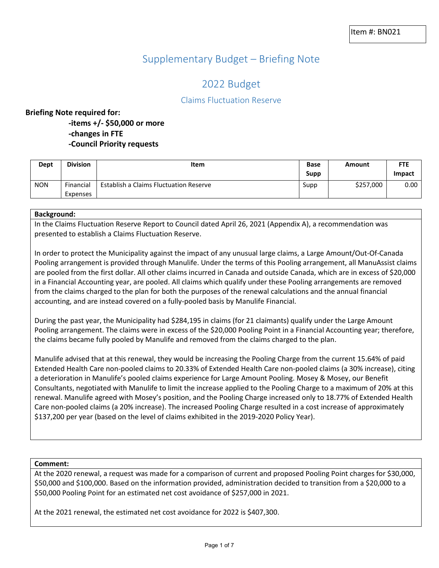# Supplementary Budget – Briefing Note

# 2022 Budget

## Claims Fluctuation Reserve

#### **Briefing Note required for:**

**-items +/- \$50,000 or more**

- **-changes in FTE**
- **-Council Priority requests**

| Dept       | <b>Division</b>       | <b>Item</b>                            | <b>Base</b><br>Supp | Amount    | <b>FTE</b><br>Impact |
|------------|-----------------------|----------------------------------------|---------------------|-----------|----------------------|
| <b>NON</b> | Financial<br>Expenses | Establish a Claims Fluctuation Reserve | Supp                | \$257,000 | 0.00                 |

#### **Background:**

In the Claims Fluctuation Reserve Report to Council dated April 26, 2021 (Appendix A), a recommendation was presented to establish a Claims Fluctuation Reserve.

In order to protect the Municipality against the impact of any unusual large claims, a Large Amount/Out-Of-Canada Pooling arrangement is provided through Manulife. Under the terms of this Pooling arrangement, all ManuAssist claims are pooled from the first dollar. All other claims incurred in Canada and outside Canada, which are in excess of \$20,000 in a Financial Accounting year, are pooled. All claims which qualify under these Pooling arrangements are removed from the claims charged to the plan for both the purposes of the renewal calculations and the annual financial accounting, and are instead covered on a fully-pooled basis by Manulife Financial.

During the past year, the Municipality had \$284,195 in claims (for 21 claimants) qualify under the Large Amount Pooling arrangement. The claims were in excess of the \$20,000 Pooling Point in a Financial Accounting year; therefore, the claims became fully pooled by Manulife and removed from the claims charged to the plan.

Manulife advised that at this renewal, they would be increasing the Pooling Charge from the current 15.64% of paid Extended Health Care non-pooled claims to 20.33% of Extended Health Care non-pooled claims (a 30% increase), citing a deterioration in Manulife's pooled claims experience for Large Amount Pooling. Mosey & Mosey, our Benefit Consultants, negotiated with Manulife to limit the increase applied to the Pooling Charge to a maximum of 20% at this renewal. Manulife agreed with Mosey's position, and the Pooling Charge increased only to 18.77% of Extended Health Care non-pooled claims (a 20% increase). The increased Pooling Charge resulted in a cost increase of approximately \$137,200 per year (based on the level of claims exhibited in the 2019-2020 Policy Year).

#### **Comment:**

At the 2020 renewal, a request was made for a comparison of current and proposed Pooling Point charges for \$30,000, \$50,000 and \$100,000. Based on the information provided, administration decided to transition from a \$20,000 to a \$50,000 Pooling Point for an estimated net cost avoidance of \$257,000 in 2021.

At the 2021 renewal, the estimated net cost avoidance for 2022 is \$407,300.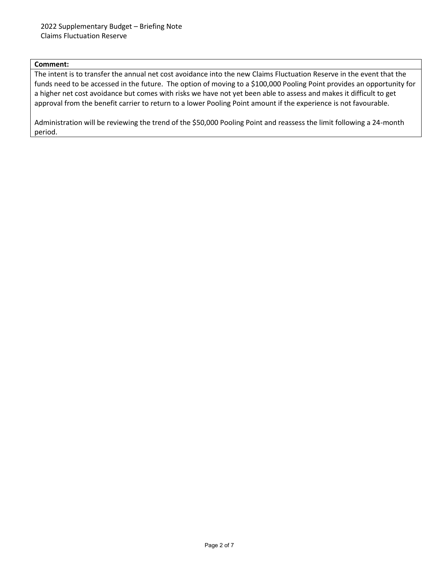#### **Comment:**

The intent is to transfer the annual net cost avoidance into the new Claims Fluctuation Reserve in the event that the funds need to be accessed in the future. The option of moving to a \$100,000 Pooling Point provides an opportunity for a higher net cost avoidance but comes with risks we have not yet been able to assess and makes it difficult to get approval from the benefit carrier to return to a lower Pooling Point amount if the experience is not favourable.

Administration will be reviewing the trend of the \$50,000 Pooling Point and reassess the limit following a 24-month period.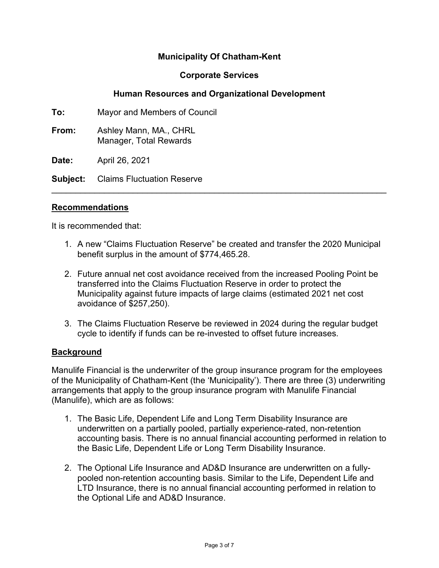# **Municipality Of Chatham-Kent**

## **Corporate Services**

# **Human Resources and Organizational Development**

**To:** Mayor and Members of Council

**From:** Ashley Mann, MA., CHRL Manager, Total Rewards

**Date:** April 26, 2021

**Subject:** Claims Fluctuation Reserve

### **Recommendations**

It is recommended that:

1. A new "Claims Fluctuation Reserve" be created and transfer the 2020 Municipal benefit surplus in the amount of \$774,465.28.

 $\overline{\phantom{a}}$  , and the contribution of the contribution of the contribution of the contribution of the contribution of the contribution of the contribution of the contribution of the contribution of the contribution of the

- 2. Future annual net cost avoidance received from the increased Pooling Point be transferred into the Claims Fluctuation Reserve in order to protect the Municipality against future impacts of large claims (estimated 2021 net cost avoidance of \$257,250).
- 3. The Claims Fluctuation Reserve be reviewed in 2024 during the regular budget cycle to identify if funds can be re-invested to offset future increases.

## **Background**

Manulife Financial is the underwriter of the group insurance program for the employees of the Municipality of Chatham-Kent (the 'Municipality'). There are three (3) underwriting arrangements that apply to the group insurance program with Manulife Financial (Manulife), which are as follows:

- 1. The Basic Life, Dependent Life and Long Term Disability Insurance are underwritten on a partially pooled, partially experience-rated, non-retention accounting basis. There is no annual financial accounting performed in relation to the Basic Life, Dependent Life or Long Term Disability Insurance.
- 2. The Optional Life Insurance and AD&D Insurance are underwritten on a fullypooled non-retention accounting basis. Similar to the Life, Dependent Life and LTD Insurance, there is no annual financial accounting performed in relation to the Optional Life and AD&D Insurance.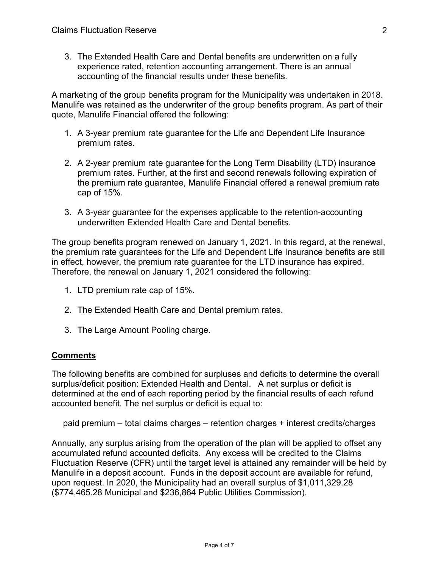3. The Extended Health Care and Dental benefits are underwritten on a fully experience rated, retention accounting arrangement. There is an annual accounting of the financial results under these benefits.

A marketing of the group benefits program for the Municipality was undertaken in 2018. Manulife was retained as the underwriter of the group benefits program. As part of their quote, Manulife Financial offered the following:

- 1. A 3-year premium rate guarantee for the Life and Dependent Life Insurance premium rates.
- 2. A 2-year premium rate guarantee for the Long Term Disability (LTD) insurance premium rates. Further, at the first and second renewals following expiration of the premium rate guarantee, Manulife Financial offered a renewal premium rate cap of 15%.
- 3. A 3-year guarantee for the expenses applicable to the retention-accounting underwritten Extended Health Care and Dental benefits.

The group benefits program renewed on January 1, 2021. In this regard, at the renewal, the premium rate guarantees for the Life and Dependent Life Insurance benefits are still in effect, however, the premium rate guarantee for the LTD insurance has expired. Therefore, the renewal on January 1, 2021 considered the following:

- 1. LTD premium rate cap of 15%.
- 2. The Extended Health Care and Dental premium rates.
- 3. The Large Amount Pooling charge.

## **Comments**

The following benefits are combined for surpluses and deficits to determine the overall surplus/deficit position: Extended Health and Dental. A net surplus or deficit is determined at the end of each reporting period by the financial results of each refund accounted benefit. The net surplus or deficit is equal to:

paid premium – total claims charges – retention charges + interest credits/charges

Annually, any surplus arising from the operation of the plan will be applied to offset any accumulated refund accounted deficits. Any excess will be credited to the Claims Fluctuation Reserve (CFR) until the target level is attained any remainder will be held by Manulife in a deposit account. Funds in the deposit account are available for refund, upon request. In 2020, the Municipality had an overall surplus of \$1,011,329.28 (\$774,465.28 Municipal and \$236,864 Public Utilities Commission).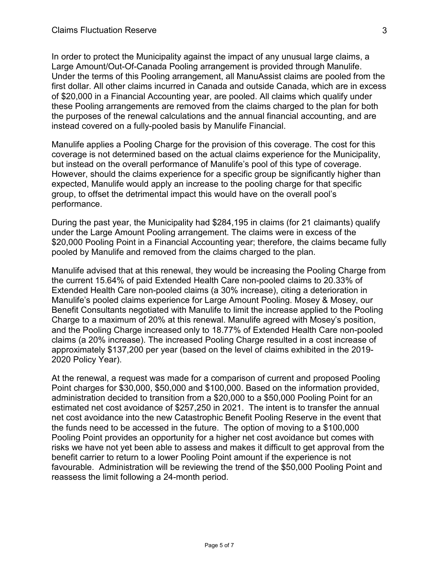In order to protect the Municipality against the impact of any unusual large claims, a Large Amount/Out-Of-Canada Pooling arrangement is provided through Manulife. Under the terms of this Pooling arrangement, all ManuAssist claims are pooled from the first dollar. All other claims incurred in Canada and outside Canada, which are in excess of \$20,000 in a Financial Accounting year, are pooled. All claims which qualify under these Pooling arrangements are removed from the claims charged to the plan for both the purposes of the renewal calculations and the annual financial accounting, and are instead covered on a fully-pooled basis by Manulife Financial.

Manulife applies a Pooling Charge for the provision of this coverage. The cost for this coverage is not determined based on the actual claims experience for the Municipality, but instead on the overall performance of Manulife's pool of this type of coverage. However, should the claims experience for a specific group be significantly higher than expected, Manulife would apply an increase to the pooling charge for that specific group, to offset the detrimental impact this would have on the overall pool's performance.

During the past year, the Municipality had \$284,195 in claims (for 21 claimants) qualify under the Large Amount Pooling arrangement. The claims were in excess of the \$20,000 Pooling Point in a Financial Accounting year; therefore, the claims became fully pooled by Manulife and removed from the claims charged to the plan.

Manulife advised that at this renewal, they would be increasing the Pooling Charge from the current 15.64% of paid Extended Health Care non-pooled claims to 20.33% of Extended Health Care non-pooled claims (a 30% increase), citing a deterioration in Manulife's pooled claims experience for Large Amount Pooling. Mosey & Mosey, our Benefit Consultants negotiated with Manulife to limit the increase applied to the Pooling Charge to a maximum of 20% at this renewal. Manulife agreed with Mosey's position, and the Pooling Charge increased only to 18.77% of Extended Health Care non-pooled claims (a 20% increase). The increased Pooling Charge resulted in a cost increase of approximately \$137,200 per year (based on the level of claims exhibited in the 2019- 2020 Policy Year).

At the renewal, a request was made for a comparison of current and proposed Pooling Point charges for \$30,000, \$50,000 and \$100,000. Based on the information provided, administration decided to transition from a \$20,000 to a \$50,000 Pooling Point for an estimated net cost avoidance of \$257,250 in 2021. The intent is to transfer the annual net cost avoidance into the new Catastrophic Benefit Pooling Reserve in the event that the funds need to be accessed in the future. The option of moving to a \$100,000 Pooling Point provides an opportunity for a higher net cost avoidance but comes with risks we have not yet been able to assess and makes it difficult to get approval from the benefit carrier to return to a lower Pooling Point amount if the experience is not favourable. Administration will be reviewing the trend of the \$50,000 Pooling Point and reassess the limit following a 24-month period.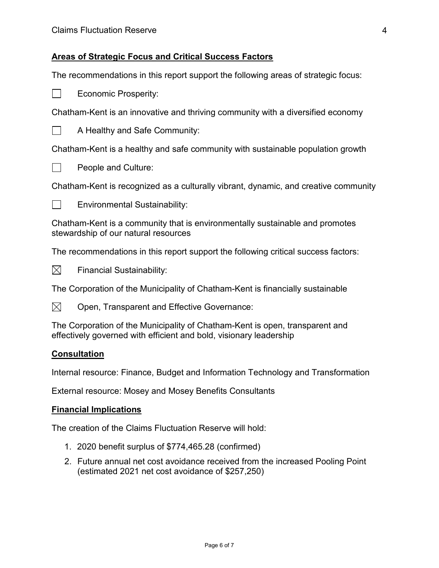### **Areas of Strategic Focus and Critical Success Factors**

The recommendations in this report support the following areas of strategic focus:

**Economic Prosperity:** 

Chatham-Kent is an innovative and thriving community with a diversified economy



 $\Box$  A Healthy and Safe Community:

Chatham-Kent is a healthy and safe community with sustainable population growth



 $\Box$  People and Culture:

Chatham-Kent is recognized as a culturally vibrant, dynamic, and creative community

 $\Box$  Environmental Sustainability:

Chatham-Kent is a community that is environmentally sustainable and promotes stewardship of our natural resources

The recommendations in this report support the following critical success factors:



 $\boxtimes$  Financial Sustainability:

The Corporation of the Municipality of Chatham-Kent is financially sustainable

 $\boxtimes$  Open, Transparent and Effective Governance:

The Corporation of the Municipality of Chatham-Kent is open, transparent and effectively governed with efficient and bold, visionary leadership

### **Consultation**

Internal resource: Finance, Budget and Information Technology and Transformation

External resource: Mosey and Mosey Benefits Consultants

#### **Financial Implications**

The creation of the Claims Fluctuation Reserve will hold:

- 1. 2020 benefit surplus of \$774,465.28 (confirmed)
- 2. Future annual net cost avoidance received from the increased Pooling Point (estimated 2021 net cost avoidance of \$257,250)